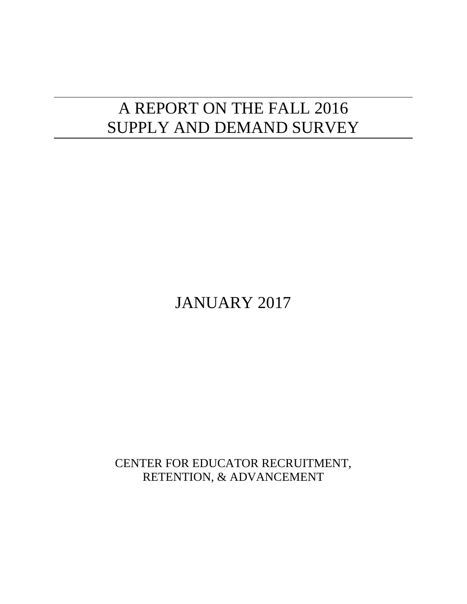# A REPORT ON THE FALL 2016 SUPPLY AND DEMAND SURVEY

JANUARY 2017

CENTER FOR EDUCATOR RECRUITMENT, RETENTION, & ADVANCEMENT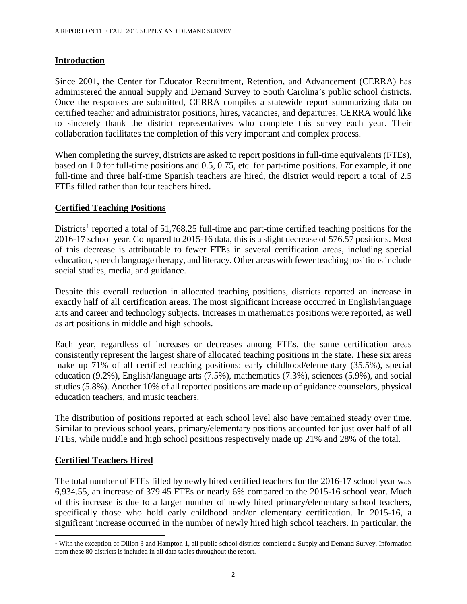## **Introduction**

Since 2001, the Center for Educator Recruitment, Retention, and Advancement (CERRA) has administered the annual Supply and Demand Survey to South Carolina's public school districts. Once the responses are submitted, CERRA compiles a statewide report summarizing data on certified teacher and administrator positions, hires, vacancies, and departures. CERRA would like to sincerely thank the district representatives who complete this survey each year. Their collaboration facilitates the completion of this very important and complex process.

When completing the survey, districts are asked to report positions in full-time equivalents (FTEs), based on 1.0 for full-time positions and 0.5, 0.75, etc. for part-time positions. For example, if one full-time and three half-time Spanish teachers are hired, the district would report a total of 2.5 FTEs filled rather than four teachers hired.

## **Certified Teaching Positions**

Districts<sup>[1](#page-1-0)</sup> reported a total of 51,768.25 full-time and part-time certified teaching positions for the 2016-17 school year. Compared to 2015-16 data, this is a slight decrease of 576.57 positions. Most of this decrease is attributable to fewer FTEs in several certification areas, including special education, speech language therapy, and literacy. Other areas with fewer teaching positions include social studies, media, and guidance.

Despite this overall reduction in allocated teaching positions, districts reported an increase in exactly half of all certification areas. The most significant increase occurred in English/language arts and career and technology subjects. Increases in mathematics positions were reported, as well as art positions in middle and high schools.

Each year, regardless of increases or decreases among FTEs, the same certification areas consistently represent the largest share of allocated teaching positions in the state. These six areas make up 71% of all certified teaching positions: early childhood/elementary (35.5%), special education (9.2%), English/language arts (7.5%), mathematics (7.3%), sciences (5.9%), and social studies (5.8%). Another 10% of all reported positions are made up of guidance counselors, physical education teachers, and music teachers.

The distribution of positions reported at each school level also have remained steady over time. Similar to previous school years, primary/elementary positions accounted for just over half of all FTEs, while middle and high school positions respectively made up 21% and 28% of the total.

## **Certified Teachers Hired**

l

The total number of FTEs filled by newly hired certified teachers for the 2016-17 school year was 6,934.55, an increase of 379.45 FTEs or nearly 6% compared to the 2015-16 school year. Much of this increase is due to a larger number of newly hired primary/elementary school teachers, specifically those who hold early childhood and/or elementary certification. In 2015-16, a significant increase occurred in the number of newly hired high school teachers. In particular, the

<span id="page-1-0"></span><sup>&</sup>lt;sup>1</sup> With the exception of Dillon 3 and Hampton 1, all public school districts completed a Supply and Demand Survey. Information from these 80 districts is included in all data tables throughout the report.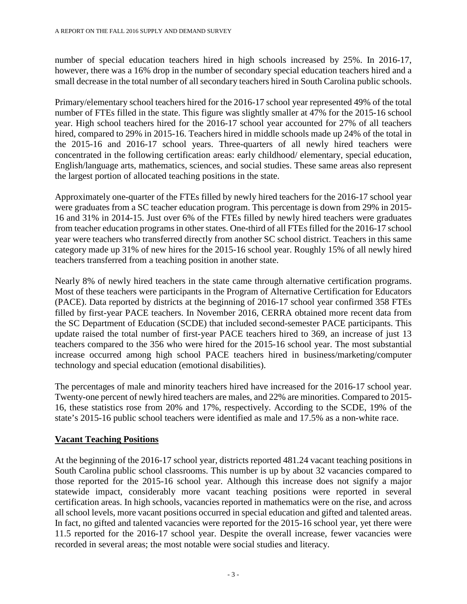number of special education teachers hired in high schools increased by 25%. In 2016-17, however, there was a 16% drop in the number of secondary special education teachers hired and a small decrease in the total number of all secondary teachers hired in South Carolina public schools.

Primary/elementary school teachers hired for the 2016-17 school year represented 49% of the total number of FTEs filled in the state. This figure was slightly smaller at 47% for the 2015-16 school year. High school teachers hired for the 2016-17 school year accounted for 27% of all teachers hired, compared to 29% in 2015-16. Teachers hired in middle schools made up 24% of the total in the 2015-16 and 2016-17 school years. Three-quarters of all newly hired teachers were concentrated in the following certification areas: early childhood/ elementary, special education, English/language arts, mathematics, sciences, and social studies. These same areas also represent the largest portion of allocated teaching positions in the state.

Approximately one-quarter of the FTEs filled by newly hired teachers for the 2016-17 school year were graduates from a SC teacher education program. This percentage is down from 29% in 2015- 16 and 31% in 2014-15. Just over 6% of the FTEs filled by newly hired teachers were graduates from teacher education programs in other states. One-third of all FTEs filled for the 2016-17 school year were teachers who transferred directly from another SC school district. Teachers in this same category made up 31% of new hires for the 2015-16 school year. Roughly 15% of all newly hired teachers transferred from a teaching position in another state.

Nearly 8% of newly hired teachers in the state came through alternative certification programs. Most of these teachers were participants in the Program of Alternative Certification for Educators (PACE). Data reported by districts at the beginning of 2016-17 school year confirmed 358 FTEs filled by first-year PACE teachers. In November 2016, CERRA obtained more recent data from the SC Department of Education (SCDE) that included second-semester PACE participants. This update raised the total number of first-year PACE teachers hired to 369, an increase of just 13 teachers compared to the 356 who were hired for the 2015-16 school year. The most substantial increase occurred among high school PACE teachers hired in business/marketing/computer technology and special education (emotional disabilities).

The percentages of male and minority teachers hired have increased for the 2016-17 school year. Twenty-one percent of newly hired teachers are males, and 22% are minorities. Compared to 2015- 16, these statistics rose from 20% and 17%, respectively. According to the SCDE, 19% of the state's 2015-16 public school teachers were identified as male and 17.5% as a non-white race.

# **Vacant Teaching Positions**

At the beginning of the 2016-17 school year, districts reported 481.24 vacant teaching positions in South Carolina public school classrooms. This number is up by about 32 vacancies compared to those reported for the 2015-16 school year. Although this increase does not signify a major statewide impact, considerably more vacant teaching positions were reported in several certification areas. In high schools, vacancies reported in mathematics were on the rise, and across all school levels, more vacant positions occurred in special education and gifted and talented areas. In fact, no gifted and talented vacancies were reported for the 2015-16 school year, yet there were 11.5 reported for the 2016-17 school year. Despite the overall increase, fewer vacancies were recorded in several areas; the most notable were social studies and literacy.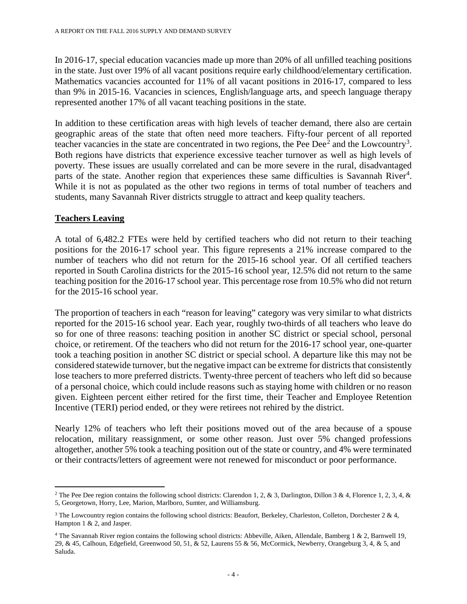In 2016-17, special education vacancies made up more than 20% of all unfilled teaching positions in the state. Just over 19% of all vacant positions require early childhood/elementary certification. Mathematics vacancies accounted for 11% of all vacant positions in 2016-17, compared to less than 9% in 2015-16. Vacancies in sciences, English/language arts, and speech language therapy represented another 17% of all vacant teaching positions in the state.

In addition to these certification areas with high levels of teacher demand, there also are certain geographic areas of the state that often need more teachers. Fifty-four percent of all reported teacher vacancies in the state are concentrated in two regions, the Pee Dee<sup>[2](#page-3-0)</sup> and the Lowcountry<sup>[3](#page-3-1)</sup>. Both regions have districts that experience excessive teacher turnover as well as high levels of poverty. These issues are usually correlated and can be more severe in the rural, disadvantaged parts of the state. Another region that experiences these same difficulties is Savannah River<sup>[4](#page-3-2)</sup>. While it is not as populated as the other two regions in terms of total number of teachers and students, many Savannah River districts struggle to attract and keep quality teachers.

#### **Teachers Leaving**

A total of 6,482.2 FTEs were held by certified teachers who did not return to their teaching positions for the 2016-17 school year. This figure represents a 21% increase compared to the number of teachers who did not return for the 2015-16 school year. Of all certified teachers reported in South Carolina districts for the 2015-16 school year, 12.5% did not return to the same teaching position for the 2016-17 school year. This percentage rose from 10.5% who did not return for the 2015-16 school year.

The proportion of teachers in each "reason for leaving" category was very similar to what districts reported for the 2015-16 school year. Each year, roughly two-thirds of all teachers who leave do so for one of three reasons: teaching position in another SC district or special school, personal choice, or retirement. Of the teachers who did not return for the 2016-17 school year, one-quarter took a teaching position in another SC district or special school. A departure like this may not be considered statewide turnover, but the negative impact can be extreme for districts that consistently lose teachers to more preferred districts. Twenty-three percent of teachers who left did so because of a personal choice, which could include reasons such as staying home with children or no reason given. Eighteen percent either retired for the first time, their Teacher and Employee Retention Incentive (TERI) period ended, or they were retirees not rehired by the district.

Nearly 12% of teachers who left their positions moved out of the area because of a spouse relocation, military reassignment, or some other reason. Just over 5% changed professions altogether, another 5% took a teaching position out of the state or country, and 4% were terminated or their contracts/letters of agreement were not renewed for misconduct or poor performance.

<span id="page-3-0"></span> $\overline{\phantom{a}}$ <sup>2</sup> The Pee Dee region contains the following school districts: Clarendon 1, 2, & 3, Darlington, Dillon 3 & 4, Florence 1, 2, 3, 4, & 5, Georgetown, Horry, Lee, Marion, Marlboro, Sumter, and Williamsburg.

<span id="page-3-1"></span><sup>&</sup>lt;sup>3</sup> The Lowcountry region contains the following school districts: Beaufort, Berkeley, Charleston, Colleton, Dorchester  $2 \& 4$ , Hampton 1 & 2, and Jasper.

<span id="page-3-2"></span><sup>4</sup> The Savannah River region contains the following school districts: Abbeville, Aiken, Allendale, Bamberg 1 & 2, Barnwell 19, 29, & 45, Calhoun, Edgefield, Greenwood 50, 51, & 52, Laurens 55 & 56, McCormick, Newberry, Orangeburg 3, 4, & 5, and Saluda.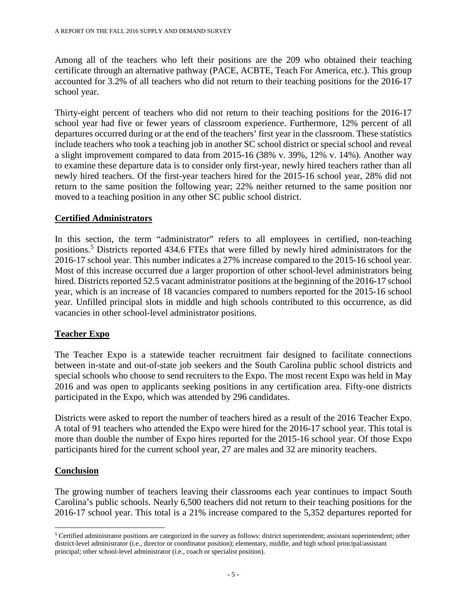Among all of the teachers who left their positions are the 209 who obtained their teaching certificate through an alternative pathway (PACE, ACBTE, Teach For America, etc.). This group accounted for 3.2% of all teachers who did not return to their teaching positions for the 2016-17 school year.

Thirty-eight percent of teachers who did not return to their teaching positions for the 2016-17 school year had five or fewer years of classroom experience. Furthermore, 12% percent of all departures occurred during or at the end of the teachers' first year in the classroom. These statistics include teachers who took a teaching job in another SC school district or special school and reveal a slight improvement compared to data from 2015-16 (38% v. 39%, 12% v. 14%). Another way to examine these departure data is to consider only first-year, newly hired teachers rather than all newly hired teachers. Of the first-year teachers hired for the 2015-16 school year, 28% did not return to the same position the following year; 22% neither returned to the same position nor moved to a teaching position in any other SC public school district.

#### **Certified Administrators**

In this section, the term "administrator" refers to all employees in certified, non-teaching positions. [5](#page-4-0) Districts reported 434.6 FTEs that were filled by newly hired administrators for the 2016-17 school year. This number indicates a 27% increase compared to the 2015-16 school year. Most of this increase occurred due a larger proportion of other school-level administrators being hired. Districts reported 52.5 vacant administrator positions at the beginning of the 2016-17 school year, which is an increase of 18 vacancies compared to numbers reported for the 2015-16 school year. Unfilled principal slots in middle and high schools contributed to this occurrence, as did vacancies in other school-level administrator positions.

## **Teacher Expo**

The Teacher Expo is a statewide teacher recruitment fair designed to facilitate connections between in-state and out-of-state job seekers and the South Carolina public school districts and special schools who choose to send recruiters to the Expo. The most recent Expo was held in May 2016 and was open to applicants seeking positions in any certification area. Fifty-one districts participated in the Expo, which was attended by 296 candidates.

Districts were asked to report the number of teachers hired as a result of the 2016 Teacher Expo. A total of 91 teachers who attended the Expo were hired for the 2016-17 school year. This total is more than double the number of Expo hires reported for the 2015-16 school year. Of those Expo participants hired for the current school year, 27 are males and 32 are minority teachers.

## **Conclusion**

l

The growing number of teachers leaving their classrooms each year continues to impact South Carolina's public schools. Nearly 6,500 teachers did not return to their teaching positions for the 2016-17 school year. This total is a 21% increase compared to the 5,352 departures reported for

<span id="page-4-0"></span><sup>5</sup> Certified administrator positions are categorized in the survey as follows: district superintendent; assistant superintendent; other district-level administrator (i.e., director or coordinator position); elementary, middle, and high school principal/assistant principal; other school-level administrator (i.e., coach or specialist position).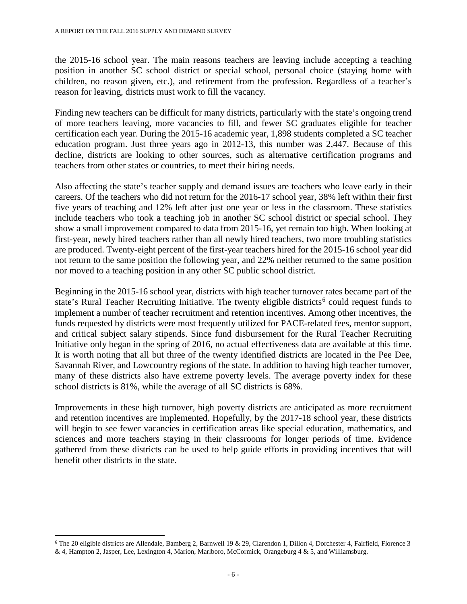the 2015-16 school year. The main reasons teachers are leaving include accepting a teaching position in another SC school district or special school, personal choice (staying home with children, no reason given, etc.), and retirement from the profession. Regardless of a teacher's reason for leaving, districts must work to fill the vacancy.

Finding new teachers can be difficult for many districts, particularly with the state's ongoing trend of more teachers leaving, more vacancies to fill, and fewer SC graduates eligible for teacher certification each year. During the 2015-16 academic year, 1,898 students completed a SC teacher education program. Just three years ago in 2012-13, this number was 2,447. Because of this decline, districts are looking to other sources, such as alternative certification programs and teachers from other states or countries, to meet their hiring needs.

Also affecting the state's teacher supply and demand issues are teachers who leave early in their careers. Of the teachers who did not return for the 2016-17 school year, 38% left within their first five years of teaching and 12% left after just one year or less in the classroom. These statistics include teachers who took a teaching job in another SC school district or special school. They show a small improvement compared to data from 2015-16, yet remain too high. When looking at first-year, newly hired teachers rather than all newly hired teachers, two more troubling statistics are produced. Twenty-eight percent of the first-year teachers hired for the 2015-16 school year did not return to the same position the following year, and 22% neither returned to the same position nor moved to a teaching position in any other SC public school district.

Beginning in the 2015-16 school year, districts with high teacher turnover rates became part of the state's Rural Teacher Recruiting Initiative. The twenty eligible districts<sup>[6](#page-5-0)</sup> could request funds to implement a number of teacher recruitment and retention incentives. Among other incentives, the funds requested by districts were most frequently utilized for PACE-related fees, mentor support, and critical subject salary stipends. Since fund disbursement for the Rural Teacher Recruiting Initiative only began in the spring of 2016, no actual effectiveness data are available at this time. It is worth noting that all but three of the twenty identified districts are located in the Pee Dee, Savannah River, and Lowcountry regions of the state. In addition to having high teacher turnover, many of these districts also have extreme poverty levels. The average poverty index for these school districts is 81%, while the average of all SC districts is 68%.

Improvements in these high turnover, high poverty districts are anticipated as more recruitment and retention incentives are implemented. Hopefully, by the 2017-18 school year, these districts will begin to see fewer vacancies in certification areas like special education, mathematics, and sciences and more teachers staying in their classrooms for longer periods of time. Evidence gathered from these districts can be used to help guide efforts in providing incentives that will benefit other districts in the state.

l

<span id="page-5-0"></span><sup>6</sup> The 20 eligible districts are Allendale, Bamberg 2, Barnwell 19 & 29, Clarendon 1, Dillon 4, Dorchester 4, Fairfield, Florence 3 & 4, Hampton 2, Jasper, Lee, Lexington 4, Marion, Marlboro, McCormick, Orangeburg 4 & 5, and Williamsburg.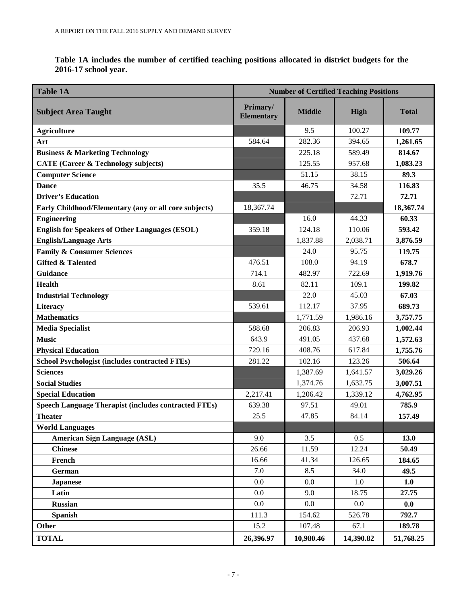**Table 1A includes the number of certified teaching positions allocated in district budgets for the 2016-17 school year.**

| <b>Table 1A</b>                                             | <b>Number of Certified Teaching Positions</b> |               |           |              |  |
|-------------------------------------------------------------|-----------------------------------------------|---------------|-----------|--------------|--|
| <b>Subject Area Taught</b>                                  | Primary/<br><b>Elementary</b>                 | <b>Middle</b> | High      | <b>Total</b> |  |
| <b>Agriculture</b>                                          |                                               | 9.5           | 100.27    | 109.77       |  |
| Art                                                         | 584.64                                        | 282.36        | 394.65    | 1,261.65     |  |
| <b>Business &amp; Marketing Technology</b>                  |                                               | 225.18        | 589.49    | 814.67       |  |
| <b>CATE (Career &amp; Technology subjects)</b>              |                                               | 125.55        | 957.68    | 1,083.23     |  |
| <b>Computer Science</b>                                     |                                               | 51.15         | 38.15     | 89.3         |  |
| <b>Dance</b>                                                | 35.5                                          | 46.75         | 34.58     | 116.83       |  |
| <b>Driver's Education</b>                                   |                                               |               | 72.71     | 72.71        |  |
| Early Childhood/Elementary (any or all core subjects)       | 18,367.74                                     |               |           | 18,367.74    |  |
| <b>Engineering</b>                                          |                                               | 16.0          | 44.33     | 60.33        |  |
| <b>English for Speakers of Other Languages (ESOL)</b>       | 359.18                                        | 124.18        | 110.06    | 593.42       |  |
| <b>English/Language Arts</b>                                |                                               | 1,837.88      | 2,038.71  | 3,876.59     |  |
| <b>Family &amp; Consumer Sciences</b>                       |                                               | 24.0          | 95.75     | 119.75       |  |
| <b>Gifted &amp; Talented</b>                                | 476.51                                        | 108.0         | 94.19     | 678.7        |  |
| <b>Guidance</b>                                             | 714.1                                         | 482.97        | 722.69    | 1,919.76     |  |
| <b>Health</b>                                               | 8.61                                          | 82.11         | 109.1     | 199.82       |  |
| <b>Industrial Technology</b>                                |                                               | 22.0          | 45.03     | 67.03        |  |
| Literacy                                                    | 539.61                                        | 112.17        | 37.95     | 689.73       |  |
| <b>Mathematics</b>                                          |                                               | 1,771.59      | 1,986.16  | 3,757.75     |  |
| <b>Media Specialist</b>                                     | 588.68                                        | 206.83        | 206.93    | 1,002.44     |  |
| <b>Music</b>                                                | 643.9                                         | 491.05        | 437.68    | 1,572.63     |  |
| <b>Physical Education</b>                                   | 729.16                                        | 408.76        | 617.84    | 1,755.76     |  |
| <b>School Psychologist (includes contracted FTEs)</b>       | 281.22                                        | 102.16        | 123.26    | 506.64       |  |
| <b>Sciences</b>                                             |                                               | 1,387.69      | 1,641.57  | 3,029.26     |  |
| <b>Social Studies</b>                                       |                                               | 1,374.76      | 1,632.75  | 3,007.51     |  |
| <b>Special Education</b>                                    | 2,217.41                                      | 1,206.42      | 1,339.12  | 4,762.95     |  |
| <b>Speech Language Therapist (includes contracted FTEs)</b> | 639.38                                        | 97.51         | 49.01     | 785.9        |  |
| <b>Theater</b>                                              | 25.5                                          | 47.85         | 84.14     | 157.49       |  |
| <b>World Languages</b>                                      |                                               |               |           |              |  |
| <b>American Sign Language (ASL)</b>                         | 9.0                                           | 3.5           | 0.5       | 13.0         |  |
| <b>Chinese</b>                                              | 26.66                                         | 11.59         | 12.24     | 50.49        |  |
| French                                                      | 16.66                                         | 41.34         | 126.65    | 184.65       |  |
| German                                                      | 7.0                                           | 8.5           | 34.0      | 49.5         |  |
| <b>Japanese</b>                                             | 0.0                                           | 0.0           | 1.0       | 1.0          |  |
| Latin                                                       | 0.0                                           | 9.0           | 18.75     | 27.75        |  |
| <b>Russian</b>                                              | $0.0\,$                                       | 0.0           | 0.0       | 0.0          |  |
| <b>Spanish</b>                                              | 111.3                                         | 154.62        | 526.78    | 792.7        |  |
| Other                                                       | 15.2                                          | 107.48        | 67.1      | 189.78       |  |
| <b>TOTAL</b>                                                | 26,396.97                                     | 10,980.46     | 14,390.82 | 51,768.25    |  |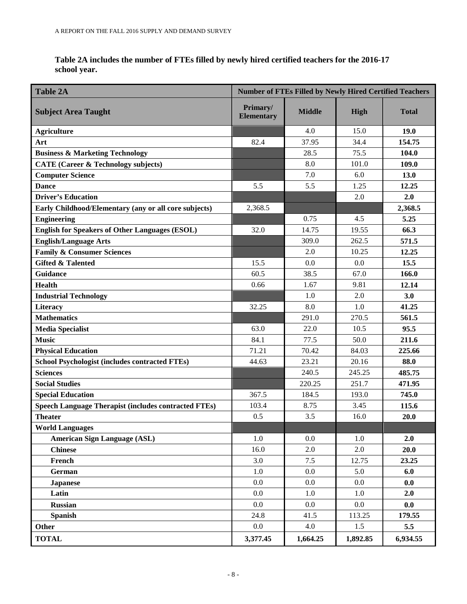| Table 2A includes the number of FTEs filled by newly hired certified teachers for the 2016-17 |  |
|-----------------------------------------------------------------------------------------------|--|
| school year.                                                                                  |  |

| <b>Table 2A</b>                                             | <b>Number of FTEs Filled by Newly Hired Certified Teachers</b> |               |             |              |
|-------------------------------------------------------------|----------------------------------------------------------------|---------------|-------------|--------------|
| <b>Subject Area Taught</b>                                  | Primary/<br><b>Elementary</b>                                  | <b>Middle</b> | <b>High</b> | <b>Total</b> |
| <b>Agriculture</b>                                          |                                                                | 4.0           | 15.0        | 19.0         |
| Art                                                         | 82.4                                                           | 37.95         | 34.4        | 154.75       |
| <b>Business &amp; Marketing Technology</b>                  |                                                                | 28.5          | 75.5        | 104.0        |
| <b>CATE (Career &amp; Technology subjects)</b>              |                                                                | 8.0           | 101.0       | 109.0        |
| <b>Computer Science</b>                                     |                                                                | 7.0           | 6.0         | 13.0         |
| <b>Dance</b>                                                | 5.5                                                            | 5.5           | 1.25        | 12.25        |
| <b>Driver's Education</b>                                   |                                                                |               | 2.0         | 2.0          |
| Early Childhood/Elementary (any or all core subjects)       | 2,368.5                                                        |               |             | 2,368.5      |
| <b>Engineering</b>                                          |                                                                | 0.75          | 4.5         | 5.25         |
| <b>English for Speakers of Other Languages (ESOL)</b>       | 32.0                                                           | 14.75         | 19.55       | 66.3         |
| <b>English/Language Arts</b>                                |                                                                | 309.0         | 262.5       | 571.5        |
| <b>Family &amp; Consumer Sciences</b>                       |                                                                | 2.0           | 10.25       | 12.25        |
| <b>Gifted &amp; Talented</b>                                | 15.5                                                           | 0.0           | 0.0         | 15.5         |
| Guidance                                                    | 60.5                                                           | 38.5          | 67.0        | 166.0        |
| <b>Health</b>                                               | 0.66                                                           | 1.67          | 9.81        | 12.14        |
| <b>Industrial Technology</b>                                |                                                                | 1.0           | 2.0         | 3.0          |
| Literacy                                                    | 32.25                                                          | 8.0           | 1.0         | 41.25        |
| <b>Mathematics</b>                                          |                                                                | 291.0         | 270.5       | 561.5        |
| <b>Media Specialist</b>                                     | 63.0                                                           | 22.0          | 10.5        | 95.5         |
| <b>Music</b>                                                | 84.1                                                           | 77.5          | 50.0        | 211.6        |
| <b>Physical Education</b>                                   | 71.21                                                          | 70.42         | 84.03       | 225.66       |
| <b>School Psychologist (includes contracted FTEs)</b>       | 44.63                                                          | 23.21         | 20.16       | 88.0         |
| <b>Sciences</b>                                             |                                                                | 240.5         | 245.25      | 485.75       |
| <b>Social Studies</b>                                       |                                                                | 220.25        | 251.7       | 471.95       |
| <b>Special Education</b>                                    | 367.5                                                          | 184.5         | 193.0       | 745.0        |
| <b>Speech Language Therapist (includes contracted FTEs)</b> | 103.4                                                          | 8.75          | 3.45        | 115.6        |
| <b>Theater</b>                                              | 0.5                                                            | 3.5           | 16.0        | 20.0         |
| <b>World Languages</b>                                      |                                                                |               |             |              |
| <b>American Sign Language (ASL)</b>                         | 1.0                                                            | 0.0           | 1.0         | 2.0          |
| <b>Chinese</b>                                              | 16.0                                                           | 2.0           | 2.0         | 20.0         |
| French                                                      | 3.0                                                            | 7.5           | 12.75       | 23.25        |
| German                                                      | $1.0\,$                                                        | 0.0           | 5.0         | 6.0          |
| <b>Japanese</b>                                             | $0.0\,$                                                        | 0.0           | 0.0         | 0.0          |
| Latin                                                       | 0.0                                                            | 1.0           | 1.0         | 2.0          |
| <b>Russian</b>                                              | 0.0                                                            | 0.0           | $0.0\,$     | 0.0          |
| <b>Spanish</b>                                              | 24.8                                                           | 41.5          | 113.25      | 179.55       |
| Other                                                       | $0.0\,$                                                        | 4.0           | 1.5         | 5.5          |
| <b>TOTAL</b>                                                | 3,377.45                                                       | 1,664.25      | 1,892.85    | 6,934.55     |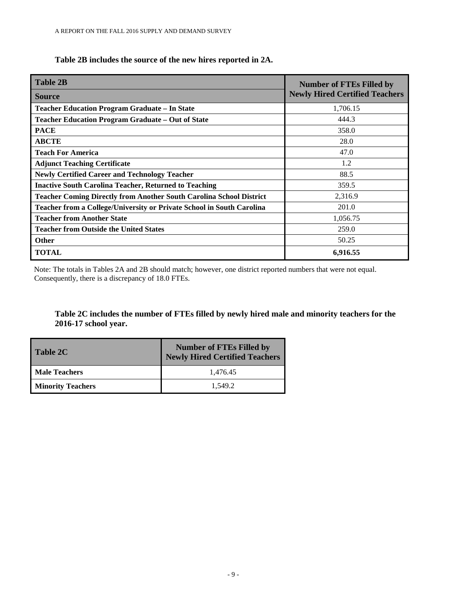# **Table 2B includes the source of the new hires reported in 2A.**

| <b>Table 2B</b>                                                              | <b>Number of FTEs Filled by</b>       |
|------------------------------------------------------------------------------|---------------------------------------|
| <b>Source</b>                                                                | <b>Newly Hired Certified Teachers</b> |
| <b>Teacher Education Program Graduate - In State</b>                         | 1,706.15                              |
| Teacher Education Program Graduate - Out of State                            | 444.3                                 |
| <b>PACE</b>                                                                  | 358.0                                 |
| <b>ABCTE</b>                                                                 | 28.0                                  |
| <b>Teach For America</b>                                                     | 47.0                                  |
| <b>Adjunct Teaching Certificate</b>                                          | 1.2                                   |
| <b>Newly Certified Career and Technology Teacher</b>                         | 88.5                                  |
| <b>Inactive South Carolina Teacher, Returned to Teaching</b>                 | 359.5                                 |
| <b>Teacher Coming Directly from Another South Carolina School District</b>   | 2,316.9                               |
| <b>Teacher from a College/University or Private School in South Carolina</b> | 201.0                                 |
| <b>Teacher from Another State</b>                                            | 1,056.75                              |
| <b>Teacher from Outside the United States</b>                                | 259.0                                 |
| <b>Other</b>                                                                 | 50.25                                 |
| <b>TOTAL</b>                                                                 | 6,916.55                              |

Note: The totals in Tables 2A and 2B should match; however, one district reported numbers that were not equal. Consequently, there is a discrepancy of 18.0 FTEs.

#### **Table 2C includes the number of FTEs filled by newly hired male and minority teachers for the 2016-17 school year.**

| <b>Table 2C</b>          | <b>Number of FTEs Filled by</b><br><b>Newly Hired Certified Teachers</b> |
|--------------------------|--------------------------------------------------------------------------|
| <b>Male Teachers</b>     | 1,476.45                                                                 |
| <b>Minority Teachers</b> | 1.549.2                                                                  |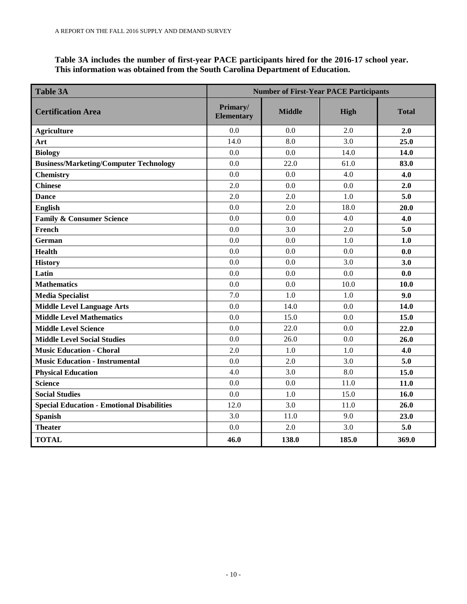**Table 3A includes the number of first-year PACE participants hired for the 2016-17 school year. This information was obtained from the South Carolina Department of Education.**

| <b>Table 3A</b>                                   | <b>Number of First-Year PACE Participants</b> |               |       |              |  |
|---------------------------------------------------|-----------------------------------------------|---------------|-------|--------------|--|
| <b>Certification Area</b>                         | Primary/<br><b>Elementary</b>                 | <b>Middle</b> | High  | <b>Total</b> |  |
| <b>Agriculture</b>                                | 0.0                                           | 0.0           | 2.0   | 2.0          |  |
| Art                                               | 14.0                                          | 8.0           | 3.0   | 25.0         |  |
| <b>Biology</b>                                    | 0.0                                           | 0.0           | 14.0  | 14.0         |  |
| <b>Business/Marketing/Computer Technology</b>     | 0.0                                           | 22.0          | 61.0  | 83.0         |  |
| Chemistry                                         | 0.0                                           | 0.0           | 4.0   | 4.0          |  |
| <b>Chinese</b>                                    | 2.0                                           | 0.0           | 0.0   | 2.0          |  |
| <b>Dance</b>                                      | 2.0                                           | 2.0           | 1.0   | 5.0          |  |
| English                                           | 0.0                                           | 2.0           | 18.0  | 20.0         |  |
| <b>Family &amp; Consumer Science</b>              | 0.0                                           | 0.0           | 4.0   | 4.0          |  |
| French                                            | 0.0                                           | 3.0           | 2.0   | 5.0          |  |
| <b>German</b>                                     | 0.0                                           | 0.0           | 1.0   | 1.0          |  |
| Health                                            | 0.0                                           | 0.0           | 0.0   | 0.0          |  |
| <b>History</b>                                    | 0.0                                           | 0.0           | 3.0   | 3.0          |  |
| Latin                                             | 0.0                                           | 0.0           | 0.0   | 0.0          |  |
| <b>Mathematics</b>                                | 0.0                                           | 0.0           | 10.0  | 10.0         |  |
| <b>Media Specialist</b>                           | 7.0                                           | 1.0           | 1.0   | 9.0          |  |
| <b>Middle Level Language Arts</b>                 | 0.0                                           | 14.0          | 0.0   | 14.0         |  |
| <b>Middle Level Mathematics</b>                   | 0.0                                           | 15.0          | 0.0   | 15.0         |  |
| <b>Middle Level Science</b>                       | 0.0                                           | 22.0          | 0.0   | 22.0         |  |
| <b>Middle Level Social Studies</b>                | 0.0                                           | 26.0          | 0.0   | 26.0         |  |
| <b>Music Education - Choral</b>                   | 2.0                                           | 1.0           | 1.0   | 4.0          |  |
| <b>Music Education - Instrumental</b>             | 0.0                                           | 2.0           | 3.0   | 5.0          |  |
| <b>Physical Education</b>                         | 4.0                                           | 3.0           | 8.0   | 15.0         |  |
| <b>Science</b>                                    | 0.0                                           | 0.0           | 11.0  | 11.0         |  |
| <b>Social Studies</b>                             | 0.0                                           | 1.0           | 15.0  | 16.0         |  |
| <b>Special Education - Emotional Disabilities</b> | 12.0                                          | 3.0           | 11.0  | 26.0         |  |
| <b>Spanish</b>                                    | 3.0                                           | 11.0          | 9.0   | 23.0         |  |
| <b>Theater</b>                                    | 0.0                                           | 2.0           | 3.0   | 5.0          |  |
| <b>TOTAL</b>                                      | 46.0                                          | 138.0         | 185.0 | 369.0        |  |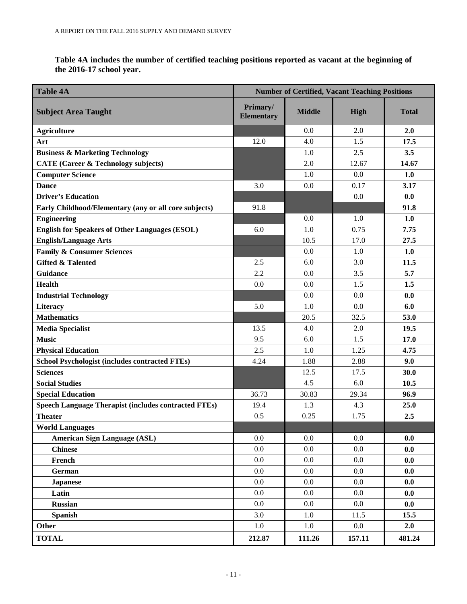**Table 4A includes the number of certified teaching positions reported as vacant at the beginning of the 2016-17 school year.** 

| <b>Table 4A</b>                                             | <b>Number of Certified, Vacant Teaching Positions</b> |               |         |              |  |
|-------------------------------------------------------------|-------------------------------------------------------|---------------|---------|--------------|--|
| <b>Subject Area Taught</b>                                  | Primary/<br><b>Elementary</b>                         | <b>Middle</b> | High    | <b>Total</b> |  |
| <b>Agriculture</b>                                          |                                                       | 0.0           | 2.0     | 2.0          |  |
| Art                                                         | 12.0                                                  | 4.0           | 1.5     | 17.5         |  |
| <b>Business &amp; Marketing Technology</b>                  |                                                       | 1.0           | 2.5     | 3.5          |  |
| <b>CATE (Career &amp; Technology subjects)</b>              |                                                       | 2.0           | 12.67   | 14.67        |  |
| <b>Computer Science</b>                                     |                                                       | 1.0           | 0.0     | 1.0          |  |
| <b>Dance</b>                                                | 3.0                                                   | 0.0           | 0.17    | 3.17         |  |
| <b>Driver's Education</b>                                   |                                                       |               | 0.0     | 0.0          |  |
| Early Childhood/Elementary (any or all core subjects)       | 91.8                                                  |               |         | 91.8         |  |
| <b>Engineering</b>                                          |                                                       | 0.0           | 1.0     | 1.0          |  |
| <b>English for Speakers of Other Languages (ESOL)</b>       | 6.0                                                   | 1.0           | 0.75    | 7.75         |  |
| <b>English/Language Arts</b>                                |                                                       | 10.5          | 17.0    | 27.5         |  |
| <b>Family &amp; Consumer Sciences</b>                       |                                                       | 0.0           | 1.0     | 1.0          |  |
| <b>Gifted &amp; Talented</b>                                | 2.5                                                   | 6.0           | 3.0     | 11.5         |  |
| <b>Guidance</b>                                             | 2.2                                                   | 0.0           | 3.5     | 5.7          |  |
| <b>Health</b>                                               | 0.0                                                   | 0.0           | 1.5     | 1.5          |  |
| <b>Industrial Technology</b>                                |                                                       | 0.0           | 0.0     | 0.0          |  |
| Literacy                                                    | 5.0                                                   | 1.0           | 0.0     | 6.0          |  |
| <b>Mathematics</b>                                          |                                                       | 20.5          | 32.5    | 53.0         |  |
| <b>Media Specialist</b>                                     | 13.5                                                  | 4.0           | 2.0     | 19.5         |  |
| <b>Music</b>                                                | 9.5                                                   | 6.0           | 1.5     | 17.0         |  |
| <b>Physical Education</b>                                   | 2.5                                                   | 1.0           | 1.25    | 4.75         |  |
| <b>School Psychologist (includes contracted FTEs)</b>       | 4.24                                                  | 1.88          | 2.88    | 9.0          |  |
| <b>Sciences</b>                                             |                                                       | 12.5          | 17.5    | 30.0         |  |
| <b>Social Studies</b>                                       |                                                       | 4.5           | 6.0     | 10.5         |  |
| <b>Special Education</b>                                    | 36.73                                                 | 30.83         | 29.34   | 96.9         |  |
| <b>Speech Language Therapist (includes contracted FTEs)</b> | 19.4                                                  | 1.3           | 4.3     | 25.0         |  |
| <b>Theater</b>                                              | 0.5                                                   | 0.25          | 1.75    | 2.5          |  |
| <b>World Languages</b>                                      |                                                       |               |         |              |  |
| <b>American Sign Language (ASL)</b>                         | 0.0                                                   | 0.0           | 0.0     | 0.0          |  |
| <b>Chinese</b>                                              | 0.0                                                   | 0.0           | 0.0     | 0.0          |  |
| French                                                      | 0.0                                                   | $0.0\,$       | 0.0     | 0.0          |  |
| <b>German</b>                                               | $0.0\,$                                               | $0.0\,$       | 0.0     | 0.0          |  |
| <b>Japanese</b>                                             | 0.0                                                   | 0.0           | 0.0     | 0.0          |  |
| Latin                                                       | 0.0                                                   | 0.0           | 0.0     | 0.0          |  |
| <b>Russian</b>                                              | $0.0\,$                                               | $0.0\,$       | 0.0     | 0.0          |  |
| <b>Spanish</b>                                              | 3.0                                                   | $1.0\,$       | 11.5    | 15.5         |  |
| <b>Other</b>                                                | $1.0\,$                                               | $1.0\,$       | $0.0\,$ | 2.0          |  |
| <b>TOTAL</b>                                                | 212.87                                                | 111.26        | 157.11  | 481.24       |  |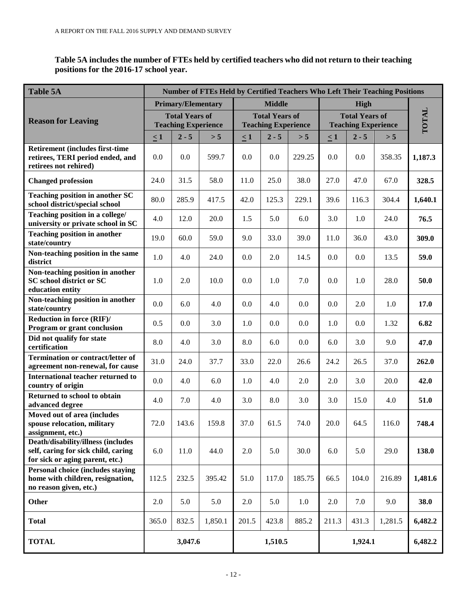**Table 5A includes the number of FTEs held by certified teachers who did not return to their teaching positions for the 2016-17 school year.**

| <b>Table 5A</b>                                                                                                      | Number of FTEs Held by Certified Teachers Who Left Their Teaching Positions |                           |         |                                                     |                              |        |                                                     |         |         |         |
|----------------------------------------------------------------------------------------------------------------------|-----------------------------------------------------------------------------|---------------------------|---------|-----------------------------------------------------|------------------------------|--------|-----------------------------------------------------|---------|---------|---------|
|                                                                                                                      |                                                                             | <b>Primary/Elementary</b> |         |                                                     | <b>Middle</b><br><b>High</b> |        |                                                     |         |         |         |
| <b>Reason for Leaving</b>                                                                                            | <b>Total Years of</b><br><b>Teaching Experience</b>                         |                           |         | <b>Total Years of</b><br><b>Teaching Experience</b> |                              |        | <b>Total Years of</b><br><b>Teaching Experience</b> |         |         | TOTAL   |
|                                                                                                                      | $\leq 1$                                                                    | $2 - 5$                   | > 5     | $\leq 1$                                            | $2 - 5$                      | > 5    | $\leq 1$                                            | $2 - 5$ | > 5     |         |
| <b>Retirement (includes first-time)</b><br>retirees, TERI period ended, and<br>retirees not rehired)                 | 0.0                                                                         | 0.0                       | 599.7   | 0.0                                                 | 0.0                          | 229.25 | 0.0                                                 | 0.0     | 358.35  | 1,187.3 |
| <b>Changed profession</b>                                                                                            | 24.0                                                                        | 31.5                      | 58.0    | 11.0                                                | 25.0                         | 38.0   | 27.0                                                | 47.0    | 67.0    | 328.5   |
| <b>Teaching position in another SC</b><br>school district/special school                                             | 80.0                                                                        | 285.9                     | 417.5   | 42.0                                                | 125.3                        | 229.1  | 39.6                                                | 116.3   | 304.4   | 1,640.1 |
| Teaching position in a college/<br>university or private school in SC                                                | 4.0                                                                         | 12.0                      | 20.0    | 1.5                                                 | 5.0                          | 6.0    | 3.0                                                 | 1.0     | 24.0    | 76.5    |
| <b>Teaching position in another</b><br>state/country                                                                 | 19.0                                                                        | 60.0                      | 59.0    | 9.0                                                 | 33.0                         | 39.0   | 11.0                                                | 36.0    | 43.0    | 309.0   |
| Non-teaching position in the same<br>district                                                                        | 1.0                                                                         | 4.0                       | 24.0    | 0.0                                                 | 2.0                          | 14.5   | 0.0                                                 | 0.0     | 13.5    | 59.0    |
| Non-teaching position in another<br><b>SC</b> school district or SC<br>education entity                              | 1.0                                                                         | 2.0                       | 10.0    | 0.0                                                 | $1.0\,$                      | 7.0    | 0.0                                                 | 1.0     | 28.0    | 50.0    |
| Non-teaching position in another<br>state/country                                                                    | 0.0                                                                         | 6.0                       | 4.0     | 0.0                                                 | 4.0                          | 0.0    | 0.0                                                 | 2.0     | 1.0     | 17.0    |
| Reduction in force (RIF)/<br>Program or grant conclusion                                                             | 0.5                                                                         | 0.0                       | 3.0     | 1.0                                                 | 0.0                          | 0.0    | 1.0                                                 | 0.0     | 1.32    | 6.82    |
| Did not qualify for state<br>certification                                                                           | 8.0                                                                         | 4.0                       | 3.0     | 8.0                                                 | 6.0                          | 0.0    | 6.0                                                 | 3.0     | 9.0     | 47.0    |
| <b>Termination or contract/letter of</b><br>agreement non-renewal, for cause                                         | 31.0                                                                        | 24.0                      | 37.7    | 33.0                                                | 22.0                         | 26.6   | 24.2                                                | 26.5    | 37.0    | 262.0   |
| International teacher returned to<br>country of origin                                                               | 0.0                                                                         | 4.0                       | 6.0     | 1.0                                                 | 4.0                          | 2.0    | 2.0                                                 | 3.0     | 20.0    | 42.0    |
| Returned to school to obtain<br>advanced degree                                                                      | 4.0                                                                         | 7.0                       | 4.0     | 3.0                                                 | 8.0                          | 3.0    | 3.0                                                 | 15.0    | 4.0     | 51.0    |
| Moved out of area (includes<br>spouse relocation, military<br>assignment, etc.)                                      | 72.0                                                                        | 143.6                     | 159.8   | 37.0                                                | 61.5                         | 74.0   | 20.0                                                | 64.5    | 116.0   | 748.4   |
| <b>Death/disability/illness (includes)</b><br>self, caring for sick child, caring<br>for sick or aging parent, etc.) | 6.0                                                                         | 11.0                      | 44.0    | 2.0                                                 | 5.0                          | 30.0   | 6.0                                                 | 5.0     | 29.0    | 138.0   |
| <b>Personal choice (includes staying)</b><br>home with children, resignation,<br>no reason given, etc.)              | 112.5                                                                       | 232.5                     | 395.42  | 51.0                                                | 117.0                        | 185.75 | 66.5                                                | 104.0   | 216.89  | 1,481.6 |
| <b>Other</b>                                                                                                         | 2.0                                                                         | 5.0                       | 5.0     | 2.0                                                 | 5.0                          | 1.0    | 2.0                                                 | 7.0     | 9.0     | 38.0    |
| <b>Total</b>                                                                                                         | 365.0                                                                       | 832.5                     | 1,850.1 | 201.5                                               | 423.8                        | 885.2  | 211.3                                               | 431.3   | 1,281.5 | 6,482.2 |
| <b>TOTAL</b>                                                                                                         |                                                                             | 3,047.6                   |         |                                                     | 1,510.5                      |        |                                                     | 1,924.1 |         | 6,482.2 |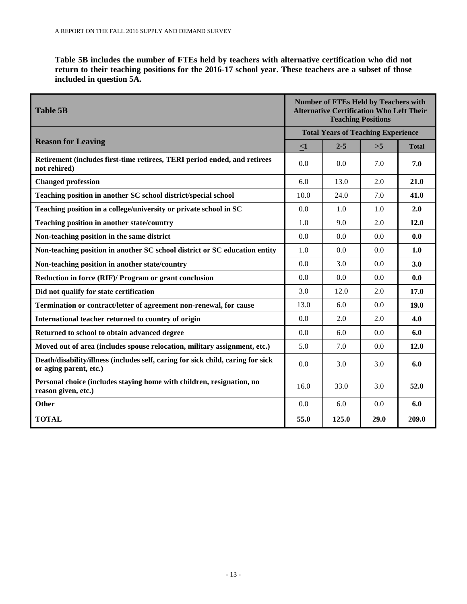**Table 5B includes the number of FTEs held by teachers with alternative certification who did not return to their teaching positions for the 2016-17 school year. These teachers are a subset of those included in question 5A.**

| <b>Table 5B</b>                                                                                           |         | <b>Number of FTEs Held by Teachers with</b><br><b>Alternative Certification Who Left Their</b><br><b>Teaching Positions</b> |      |              |  |  |  |
|-----------------------------------------------------------------------------------------------------------|---------|-----------------------------------------------------------------------------------------------------------------------------|------|--------------|--|--|--|
|                                                                                                           |         | <b>Total Years of Teaching Experience</b>                                                                                   |      |              |  |  |  |
| <b>Reason for Leaving</b>                                                                                 | $\leq1$ | $2 - 5$                                                                                                                     | >5   | <b>Total</b> |  |  |  |
| Retirement (includes first-time retirees, TERI period ended, and retirees<br>not rehired)                 | 0.0     | 0.0                                                                                                                         | 7.0  | 7.0          |  |  |  |
| <b>Changed profession</b>                                                                                 | 6.0     | 13.0                                                                                                                        | 2.0  | 21.0         |  |  |  |
| Teaching position in another SC school district/special school                                            | 10.0    | 24.0                                                                                                                        | 7.0  | 41.0         |  |  |  |
| Teaching position in a college/university or private school in SC                                         | 0.0     | 1.0                                                                                                                         | 1.0  | 2.0          |  |  |  |
| <b>Teaching position in another state/country</b>                                                         | 1.0     | 9.0                                                                                                                         | 2.0  | 12.0         |  |  |  |
| Non-teaching position in the same district                                                                | 0.0     | 0.0                                                                                                                         | 0.0  | 0.0          |  |  |  |
| Non-teaching position in another SC school district or SC education entity                                | 1.0     | 0.0                                                                                                                         | 0.0  | 1.0          |  |  |  |
| Non-teaching position in another state/country                                                            | 0.0     | 3.0                                                                                                                         | 0.0  | 3.0          |  |  |  |
| Reduction in force (RIF)/ Program or grant conclusion                                                     | 0.0     | 0.0                                                                                                                         | 0.0  | 0.0          |  |  |  |
| Did not qualify for state certification                                                                   | 3.0     | 12.0                                                                                                                        | 2.0  | 17.0         |  |  |  |
| Termination or contract/letter of agreement non-renewal, for cause                                        | 13.0    | 6.0                                                                                                                         | 0.0  | 19.0         |  |  |  |
| International teacher returned to country of origin                                                       | 0.0     | 2.0                                                                                                                         | 2.0  | 4.0          |  |  |  |
| Returned to school to obtain advanced degree                                                              | 0.0     | 6.0                                                                                                                         | 0.0  | 6.0          |  |  |  |
| Moved out of area (includes spouse relocation, military assignment, etc.)                                 | 5.0     | 7.0                                                                                                                         | 0.0  | 12.0         |  |  |  |
| Death/disability/illness (includes self, caring for sick child, caring for sick<br>or aging parent, etc.) | 0.0     | 3.0                                                                                                                         | 3.0  | 6.0          |  |  |  |
| Personal choice (includes staying home with children, resignation, no<br>reason given, etc.)              | 16.0    | 33.0                                                                                                                        | 3.0  | 52.0         |  |  |  |
| Other                                                                                                     | 0.0     | 6.0                                                                                                                         | 0.0  | 6.0          |  |  |  |
| <b>TOTAL</b>                                                                                              | 55.0    | 125.0                                                                                                                       | 29.0 | 209.0        |  |  |  |